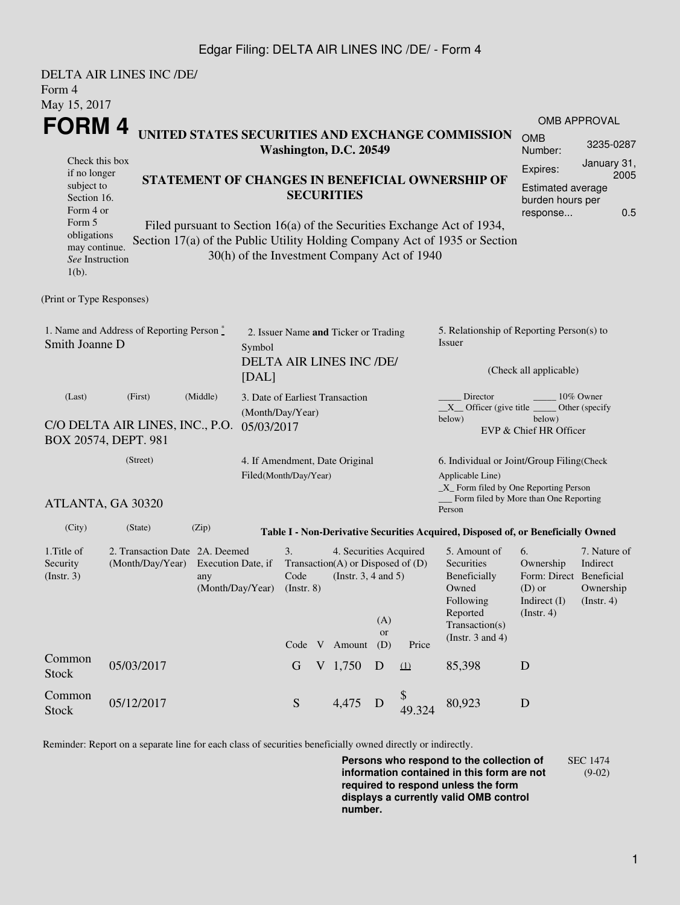## Edgar Filing: DELTA AIR LINES INC /DE/ - Form 4

|                                                                                                   | DELTA AIR LINES INC /DE/                                                            |                                                                                                                                                 |  |                                                                   |  |                                                                                                            |                                                                               |                                             |                                                                                                                                                    |                                                                                       |                                                           |  |
|---------------------------------------------------------------------------------------------------|-------------------------------------------------------------------------------------|-------------------------------------------------------------------------------------------------------------------------------------------------|--|-------------------------------------------------------------------|--|------------------------------------------------------------------------------------------------------------|-------------------------------------------------------------------------------|---------------------------------------------|----------------------------------------------------------------------------------------------------------------------------------------------------|---------------------------------------------------------------------------------------|-----------------------------------------------------------|--|
| Form 4                                                                                            |                                                                                     |                                                                                                                                                 |  |                                                                   |  |                                                                                                            |                                                                               |                                             |                                                                                                                                                    |                                                                                       |                                                           |  |
| May 15, 2017<br><b>FORM4</b>                                                                      |                                                                                     |                                                                                                                                                 |  |                                                                   |  |                                                                                                            |                                                                               |                                             | <b>OMB APPROVAL</b>                                                                                                                                |                                                                                       |                                                           |  |
| UNITED STATES SECURITIES AND EXCHANGE COMMISSION<br>Washington, D.C. 20549                        |                                                                                     |                                                                                                                                                 |  |                                                                   |  |                                                                                                            |                                                                               | <b>OMB</b><br>Number:                       | 3235-0287<br>January 31,<br>Expires:<br>2005<br>Estimated average<br>burden hours per<br>0.5<br>response                                           |                                                                                       |                                                           |  |
| Check this box<br>if no longer<br>subject to<br>Section 16.<br>Form 4 or<br>Form 5<br>obligations |                                                                                     | STATEMENT OF CHANGES IN BENEFICIAL OWNERSHIP OF<br><b>SECURITIES</b><br>Filed pursuant to Section 16(a) of the Securities Exchange Act of 1934, |  |                                                                   |  |                                                                                                            |                                                                               |                                             |                                                                                                                                                    |                                                                                       |                                                           |  |
| may continue.<br>See Instruction<br>$1(b)$ .                                                      |                                                                                     |                                                                                                                                                 |  |                                                                   |  |                                                                                                            |                                                                               | 30(h) of the Investment Company Act of 1940 | Section 17(a) of the Public Utility Holding Company Act of 1935 or Section                                                                         |                                                                                       |                                                           |  |
| (Print or Type Responses)                                                                         |                                                                                     |                                                                                                                                                 |  |                                                                   |  |                                                                                                            |                                                                               |                                             |                                                                                                                                                    |                                                                                       |                                                           |  |
| 1. Name and Address of Reporting Person $\stackrel{*}{\mathbb{L}}$<br>Smith Joanne D              | 2. Issuer Name and Ticker or Trading<br>Symbol<br>DELTA AIR LINES INC /DE/<br>[DAL] |                                                                                                                                                 |  |                                                                   |  |                                                                                                            | 5. Relationship of Reporting Person(s) to<br>Issuer<br>(Check all applicable) |                                             |                                                                                                                                                    |                                                                                       |                                                           |  |
| (First)<br>(Middle)<br>(Last)<br>C/O DELTA AIR LINES, INC., P.O.<br>BOX 20574, DEPT. 981          |                                                                                     |                                                                                                                                                 |  | 3. Date of Earliest Transaction<br>(Month/Day/Year)<br>05/03/2017 |  |                                                                                                            |                                                                               |                                             | Director<br>10% Owner<br>$X$ Officer (give title $\overline{\phantom{a}}$<br>Other (specify<br>below)<br>below)<br>EVP & Chief HR Officer          |                                                                                       |                                                           |  |
| (Street)<br>ATLANTA, GA 30320                                                                     |                                                                                     |                                                                                                                                                 |  | 4. If Amendment, Date Original<br>Filed(Month/Day/Year)           |  |                                                                                                            |                                                                               |                                             | 6. Individual or Joint/Group Filing(Check<br>Applicable Line)<br>$\_X$ Form filed by One Reporting Person<br>Form filed by More than One Reporting |                                                                                       |                                                           |  |
| (City)                                                                                            | (State)                                                                             | (Zip)                                                                                                                                           |  |                                                                   |  |                                                                                                            |                                                                               |                                             | Person                                                                                                                                             |                                                                                       |                                                           |  |
|                                                                                                   |                                                                                     |                                                                                                                                                 |  |                                                                   |  |                                                                                                            |                                                                               |                                             | Table I - Non-Derivative Securities Acquired, Disposed of, or Beneficially Owned                                                                   |                                                                                       |                                                           |  |
| 1. Title of<br>Security<br>(Insert. 3)                                                            | 2. Transaction Date 2A. Deemed<br>(Month/Day/Year)                                  | Execution Date, if<br>any<br>(Month/Day/Year)                                                                                                   |  | 3.<br>Code<br>$($ Instr. $8)$                                     |  | 4. Securities Acquired<br>Transaction(A) or Disposed of $(D)$<br>(Instr. $3, 4$ and $5$ )<br>Code V Amount | (A)<br>or<br>(D)                                                              | Price                                       | 5. Amount of<br>Securities<br>Beneficially<br>Owned<br>Following<br>Reported<br>Transaction(s)<br>(Instr. $3$ and $4$ )                            | 6.<br>Ownership<br>Form: Direct Beneficial<br>$(D)$ or<br>Indirect (I)<br>(Insert. 4) | 7. Nature of<br>Indirect<br>Ownership<br>$($ Instr. 4 $)$ |  |
| Common<br><b>Stock</b>                                                                            | 05/03/2017                                                                          |                                                                                                                                                 |  | G                                                                 |  | V 1,750                                                                                                    | D                                                                             | (1)                                         | 85,398                                                                                                                                             | D                                                                                     |                                                           |  |
| Common<br><b>Stock</b>                                                                            | 05/12/2017                                                                          |                                                                                                                                                 |  | ${\mathcal S}$                                                    |  | 4,475                                                                                                      | D                                                                             | \$<br>49.324                                | 80,923                                                                                                                                             | D                                                                                     |                                                           |  |

Reminder: Report on a separate line for each class of securities beneficially owned directly or indirectly.

**Persons who respond to the collection of information contained in this form are not required to respond unless the form displays a currently valid OMB control number.** SEC 1474 (9-02)